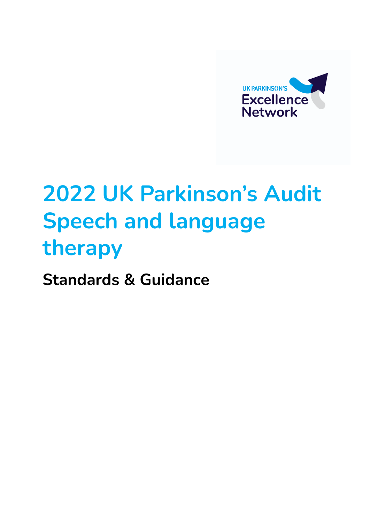

# **2022 UK Parkinson's Audit Speech and language therapy**

**Standards & Guidance**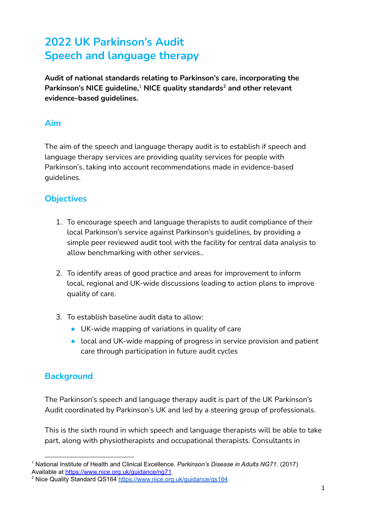## **2022 UK Parkinson's Audit Speech and language therapy**

**Audit of national standards relating to Parkinson's care, incorporating the Parkinson's NICE guideline, NICE quality standards and other relevant** 1 **2 evidence-based guidelines.**

## **Aim**

The aim of the speech and language therapy audit is to establish if speech and language therapy services are providing quality services for people with Parkinson's, taking into account recommendations made in evidence-based guidelines.

## **Objectives**

- 1. To encourage speech and language therapists to audit compliance of their local Parkinson's service against Parkinson's guidelines, by providing a simple peer reviewed audit tool with the facility for central data analysis to allow benchmarking with other services..
- 2. To identify areas of good practice and areas for improvement to inform local, regional and UK-wide discussions leading to action plans to improve quality of care.
- 3. To establish baseline audit data to allow:
	- UK-wide mapping of variations in quality of care
	- local and UK-wide mapping of progress in service provision and patient care through participation in future audit cycles

## **Background**

The Parkinson's speech and language therapy audit is part of the UK Parkinson's Audit coordinated by Parkinson's UK and led by a steering group of professionals.

This is the sixth round in which speech and language therapists will be able to take part, along with physiotherapists and occupational therapists. Consultants in

<sup>1</sup> National Institute of Health and Clinical Excellence. *Parkinson's Disease in Adults NG71.* (2017) Available at <https://www.nice.org.uk/guidance/ng71>

<sup>2</sup> Nice Quality Standard QS164 <https://www.nice.org.uk/guidance/qs164>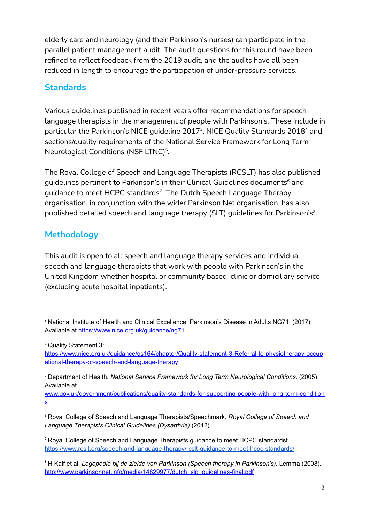elderly care and neurology (and their Parkinson's nurses) can participate in the parallel patient management audit. The audit questions for this round have been refined to reflect feedback from the 2019 audit, and the audits have all been reduced in length to encourage the participation of under-pressure services.

## **Standards**

Various guidelines published in recent years offer recommendations for speech language therapists in the management of people with Parkinson's. These include in particular the Parkinson's NICE guideline 2017 $^{\text{3}}$ , NICE Quality Standards 2018 $^{\text{4}}$  and sections/quality requirements of the National Service Framework for Long Term Neurological Conditions (NSF LTNC)<sup>5</sup>.

The Royal College of Speech and Language Therapists (RCSLT) has also published guidelines pertinent to Parkinson's in their Clinical Guidelines documents<sup>6</sup> and guidance to meet HCPC standards<sup>7</sup>. The Dutch Speech Language Therapy organisation, in conjunction with the wider Parkinson Net organisation, has also published detailed speech and language therapy (SLT) guidelines for Parkinson's $^{\rm 8}.$ 

## **Methodology**

This audit is open to all speech and language therapy services and individual speech and language therapists that work with people with Parkinson's in the United Kingdom whether hospital or community based, clinic or domiciliary service (excluding acute hospital inpatients).

<sup>&</sup>lt;sup>3</sup> National Institute of Health and Clinical Excellence. Parkinson's Disease in Adults NG71. (2017) Available at <https://www.nice.org.uk/guidance/ng71>

<sup>4</sup> Quality Statement 3:

[https://www.nice.org.uk/guidance/qs164/chapter/Quality-statement-3-Referral-to-physiotherapy-occup](https://www.nice.org.uk/guidance/qs164/chapter/Quality-statement-3-Referral-to-physiotherapy-occupational-therapy-or-speech-and-language-therapy) [ational-therapy-or-speech-and-language-therapy](https://www.nice.org.uk/guidance/qs164/chapter/Quality-statement-3-Referral-to-physiotherapy-occupational-therapy-or-speech-and-language-therapy)

<sup>5</sup> Department of Health. *National Service Framework for Long Term Neurological Conditions*. (2005) Available at

[www.gov.uk/government/publications/quality-standards-for-supporting-people-with-long-term-condition](http://www.gov.uk/government/publications/quality-standards-for-supporting-people-with-long-term-conditions) [s](http://www.gov.uk/government/publications/quality-standards-for-supporting-people-with-long-term-conditions)

<sup>6</sup> Royal College of Speech and Language Therapists/Speechmark. *Royal College of Speech and Language Therapists Clinical Guidelines (Dysarthria)* (2012)

<sup>7</sup> Royal College of Speech and Language Therapists guidance to meet HCPC standardst <https://www.rcslt.org/speech-and-language-therapy/rcslt-guidance-to-meet-hcpc-standards/>

<sup>8</sup> H Kalf et al. *Logopedie bij de ziekte van Parkinson (Speech therapy in Parkinson's)*. Lemma (2008). http://www.parkinsonnet.info/media/14829977/dutch\_slp\_quidelines-final.pdf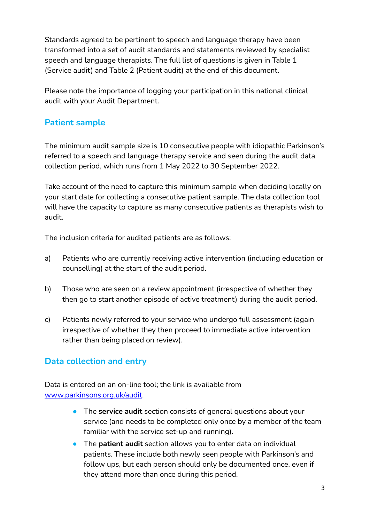Standards agreed to be pertinent to speech and language therapy have been transformed into a set of audit standards and statements reviewed by specialist speech and language therapists. The full list of questions is given in Table 1 (Service audit) and Table 2 (Patient audit) at the end of this document.

Please note the importance of logging your participation in this national clinical audit with your Audit Department.

## **Patient sample**

The minimum audit sample size is 10 consecutive people with idiopathic Parkinson's referred to a speech and language therapy service and seen during the audit data collection period, which runs from 1 May 2022 to 30 September 2022.

Take account of the need to capture this minimum sample when deciding locally on your start date for collecting a consecutive patient sample. The data collection tool will have the capacity to capture as many consecutive patients as therapists wish to audit.

The inclusion criteria for audited patients are as follows:

- a) Patients who are currently receiving active intervention (including education or counselling) at the start of the audit period.
- b) Those who are seen on a review appointment (irrespective of whether they then go to start another episode of active treatment) during the audit period.
- c) Patients newly referred to your service who undergo full assessment (again irrespective of whether they then proceed to immediate active intervention rather than being placed on review).

## **Data collection and entry**

Data is entered on an on-line tool; the link is available from [www.parkinsons.org.uk/audit.](http://www.parkinsons.org.uk/audit)

- The **service audit** section consists of general questions about your service (and needs to be completed only once by a member of the team familiar with the service set-up and running).
- The **patient audit** section allows you to enter data on individual patients. These include both newly seen people with Parkinson's and follow ups, but each person should only be documented once, even if they attend more than once during this period.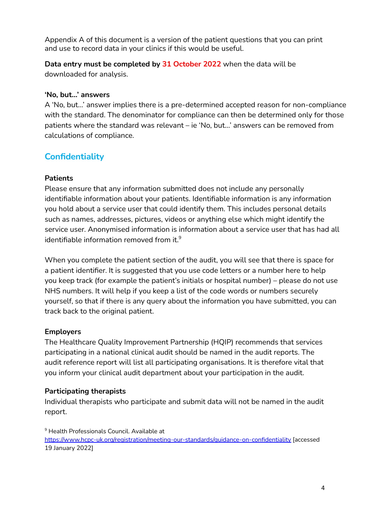Appendix A of this document is a version of the patient questions that you can print and use to record data in your clinics if this would be useful.

**Data entry must be completed by 31 October 2022** when the data will be downloaded for analysis.

#### **'No, but…' answers**

A 'No, but…' answer implies there is a pre-determined accepted reason for non-compliance with the standard. The denominator for compliance can then be determined only for those patients where the standard was relevant – ie 'No, but…' answers can be removed from calculations of compliance.

## **Confidentiality**

#### **Patients**

Please ensure that any information submitted does not include any personally identifiable information about your patients. Identifiable information is any information you hold about a service user that could identify them. This includes personal details such as names, addresses, pictures, videos or anything else which might identify the service user. Anonymised information is information about a service user that has had all identifiable information removed from it. $^9$ 

When you complete the patient section of the audit, you will see that there is space for a patient identifier. It is suggested that you use code letters or a number here to help you keep track (for example the patient's initials or hospital number) – please do not use NHS numbers. It will help if you keep a list of the code words or numbers securely yourself, so that if there is any query about the information you have submitted, you can track back to the original patient.

#### **Employers**

The Healthcare Quality Improvement Partnership (HQIP) recommends that services participating in a national clinical audit should be named in the audit reports. The audit reference report will list all participating organisations. It is therefore vital that you inform your clinical audit department about your participation in the audit.

#### **Participating therapists**

Individual therapists who participate and submit data will not be named in the audit report.

<sup>9</sup> Health Professionals Council. Available at <https://www.hcpc-uk.org/registration/meeting-our-standards/guidance-on-confidentiality> [accessed 19 January 2022]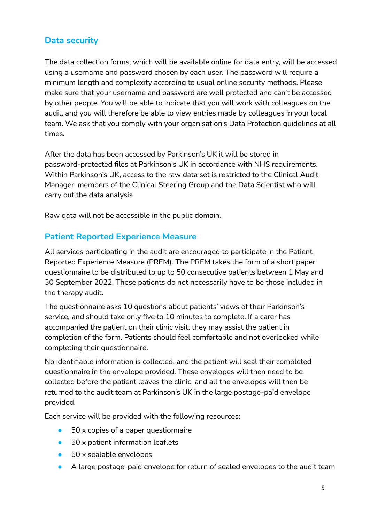## **Data security**

The data collection forms, which will be available online for data entry, will be accessed using a username and password chosen by each user. The password will require a minimum length and complexity according to usual online security methods. Please make sure that your username and password are well protected and can't be accessed by other people. You will be able to indicate that you will work with colleagues on the audit, and you will therefore be able to view entries made by colleagues in your local team. We ask that you comply with your organisation's Data Protection guidelines at all times.

After the data has been accessed by Parkinson's UK it will be stored in password-protected files at Parkinson's UK in accordance with NHS requirements. Within Parkinson's UK, access to the raw data set is restricted to the Clinical Audit Manager, members of the Clinical Steering Group and the Data Scientist who will carry out the data analysis

Raw data will not be accessible in the public domain.

#### **Patient Reported Experience Measure**

All services participating in the audit are encouraged to participate in the Patient Reported Experience Measure (PREM). The PREM takes the form of a short paper questionnaire to be distributed to up to 50 consecutive patients between 1 May and 30 September 2022. These patients do not necessarily have to be those included in the therapy audit.

The questionnaire asks 10 questions about patients' views of their Parkinson's service, and should take only five to 10 minutes to complete. If a carer has accompanied the patient on their clinic visit, they may assist the patient in completion of the form. Patients should feel comfortable and not overlooked while completing their questionnaire.

No identifiable information is collected, and the patient will seal their completed questionnaire in the envelope provided. These envelopes will then need to be collected before the patient leaves the clinic, and all the envelopes will then be returned to the audit team at Parkinson's UK in the large postage-paid envelope provided.

Each service will be provided with the following resources:

- 50 x copies of a paper questionnaire
- 50 x patient information leaflets
- 50 x sealable envelopes
- A large postage-paid envelope for return of sealed envelopes to the audit team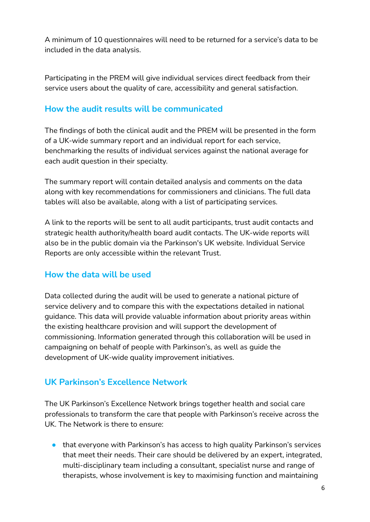A minimum of 10 questionnaires will need to be returned for a service's data to be included in the data analysis.

Participating in the PREM will give individual services direct feedback from their service users about the quality of care, accessibility and general satisfaction.

## **How the audit results will be communicated**

The findings of both the clinical audit and the PREM will be presented in the form of a UK-wide summary report and an individual report for each service, benchmarking the results of individual services against the national average for each audit question in their specialty.

The summary report will contain detailed analysis and comments on the data along with key recommendations for commissioners and clinicians. The full data tables will also be available, along with a list of participating services.

A link to the reports will be sent to all audit participants, trust audit contacts and strategic health authority/health board audit contacts. The UK-wide reports will also be in the public domain via the Parkinson's UK website. Individual Service Reports are only accessible within the relevant Trust.

## **How the data will be used**

Data collected during the audit will be used to generate a national picture of service delivery and to compare this with the expectations detailed in national guidance. This data will provide valuable information about priority areas within the existing healthcare provision and will support the development of commissioning. Information generated through this collaboration will be used in campaigning on behalf of people with Parkinson's, as well as guide the development of UK-wide quality improvement initiatives.

## **UK Parkinson's Excellence Network**

The UK Parkinson's Excellence Network brings together health and social care professionals to transform the care that people with Parkinson's receive across the UK. The Network is there to ensure:

● that everyone with Parkinson's has access to high quality Parkinson's services that meet their needs. Their care should be delivered by an expert, integrated, multi-disciplinary team including a consultant, specialist nurse and range of therapists, whose involvement is key to maximising function and maintaining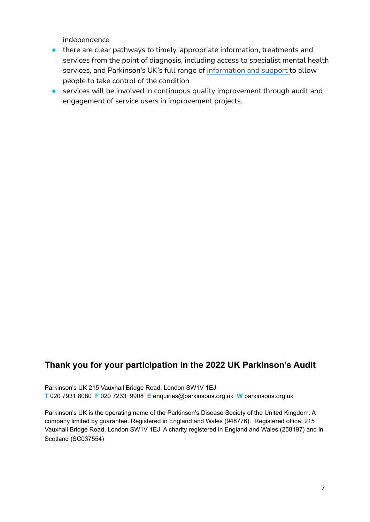independence

- there are clear pathways to timely, appropriate information, treatments and services from the point of diagnosis, including access to specialist mental health services, and Parkinson's UK's full range of [information](https://www.parkinsons.org.uk/information-and-support) and support to allow people to take control of the condition
- services will be involved in continuous quality improvement through audit and engagement of service users in improvement projects.

## **Thank you for your participation in the 2022 UK Parkinson's Audit**

Parkinson's UK 215 Vauxhall Bridge Road, London SW1V 1EJ **T** 020 7931 8080 **F** 020 7233 9908 **E** enquiries@parkinsons.org.uk **W** parkinsons.org.uk

Parkinson's UK is the operating name of the Parkinson's Disease Society of the United Kingdom. A company limited by guarantee. Registered in England and Wales (948776). Registered office: 215 Vauxhall Bridge Road, London SW1V 1EJ. A charity registered in England and Wales (258197) and in Scotland (SC037554)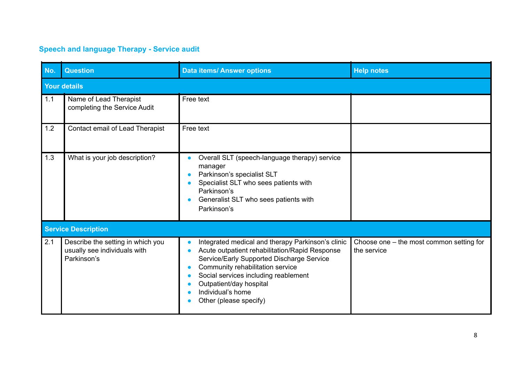## **Speech and language Therapy - Service audit**

| No.   | <b>Question</b>                                                                  | <b>Data items/ Answer options</b>                                                                                                                                                                                                                                                                      | <b>Help notes</b>                                       |
|-------|----------------------------------------------------------------------------------|--------------------------------------------------------------------------------------------------------------------------------------------------------------------------------------------------------------------------------------------------------------------------------------------------------|---------------------------------------------------------|
|       | <b>Your details</b>                                                              |                                                                                                                                                                                                                                                                                                        |                                                         |
| $1.1$ | Name of Lead Therapist<br>completing the Service Audit                           | Free text                                                                                                                                                                                                                                                                                              |                                                         |
| 1.2   | Contact email of Lead Therapist                                                  | Free text                                                                                                                                                                                                                                                                                              |                                                         |
| 1.3   | What is your job description?                                                    | Overall SLT (speech-language therapy) service<br>manager<br>Parkinson's specialist SLT<br>Specialist SLT who sees patients with<br>Parkinson's<br>Generalist SLT who sees patients with<br>Parkinson's                                                                                                 |                                                         |
|       | <b>Service Description</b>                                                       |                                                                                                                                                                                                                                                                                                        |                                                         |
| 2.1   | Describe the setting in which you<br>usually see individuals with<br>Parkinson's | Integrated medical and therapy Parkinson's clinic<br>Acute outpatient rehabilitation/Rapid Response<br>Service/Early Supported Discharge Service<br>Community rehabilitation service<br>Social services including reablement<br>Outpatient/day hospital<br>Individual's home<br>Other (please specify) | Choose one - the most common setting for<br>the service |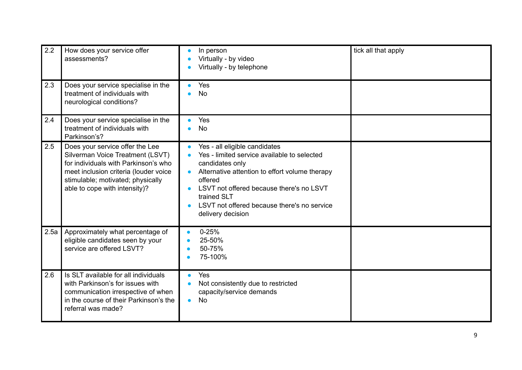| 2.2  | How does your service offer<br>assessments?                                                                                                                                                                                | In person<br>$\bullet$<br>Virtually - by video<br>Virtually - by telephone                                                                                                                                                                                                                               | tick all that apply |
|------|----------------------------------------------------------------------------------------------------------------------------------------------------------------------------------------------------------------------------|----------------------------------------------------------------------------------------------------------------------------------------------------------------------------------------------------------------------------------------------------------------------------------------------------------|---------------------|
| 2.3  | Does your service specialise in the<br>treatment of individuals with<br>neurological conditions?                                                                                                                           | Yes<br><b>No</b>                                                                                                                                                                                                                                                                                         |                     |
| 2.4  | Does your service specialise in the<br>treatment of individuals with<br>Parkinson's?                                                                                                                                       | Yes<br><b>No</b>                                                                                                                                                                                                                                                                                         |                     |
| 2.5  | Does your service offer the Lee<br>Silverman Voice Treatment (LSVT)<br>for individuals with Parkinson's who<br>meet inclusion criteria (louder voice<br>stimulable; motivated; physically<br>able to cope with intensity)? | Yes - all eligible candidates<br>Yes - limited service available to selected<br>candidates only<br>Alternative attention to effort volume therapy<br>offered<br>LSVT not offered because there's no LSVT<br>$\bullet$<br>trained SLT<br>LSVT not offered because there's no service<br>delivery decision |                     |
| 2.5a | Approximately what percentage of<br>eligible candidates seen by your<br>service are offered LSVT?                                                                                                                          | $0 - 25%$<br>$\bullet$<br>25-50%<br>50-75%<br>75-100%                                                                                                                                                                                                                                                    |                     |
| 2.6  | Is SLT available for all individuals<br>with Parkinson's for issues with<br>communication irrespective of when<br>in the course of their Parkinson's the<br>referral was made?                                             | Yes<br>Not consistently due to restricted<br>capacity/service demands<br><b>No</b><br>$\bullet$                                                                                                                                                                                                          |                     |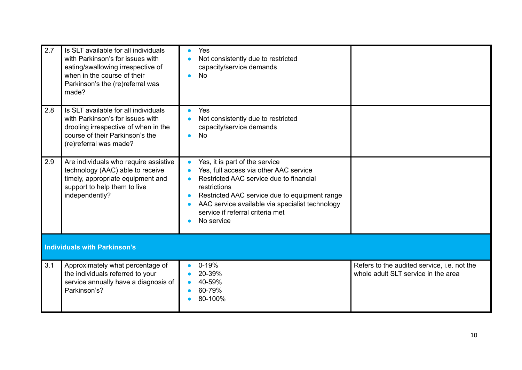| 2.7 | Is SLT available for all individuals<br>with Parkinson's for issues with<br>eating/swallowing irrespective of<br>when in the course of their<br>Parkinson's the (re)referral was<br>made? | Yes<br>Not consistently due to restricted<br>capacity/service demands<br><b>No</b>                                                                                                                                                                                                        |                                                                                    |  |  |
|-----|-------------------------------------------------------------------------------------------------------------------------------------------------------------------------------------------|-------------------------------------------------------------------------------------------------------------------------------------------------------------------------------------------------------------------------------------------------------------------------------------------|------------------------------------------------------------------------------------|--|--|
| 2.8 | Is SLT available for all individuals<br>with Parkinson's for issues with<br>drooling irrespective of when in the<br>course of their Parkinson's the<br>(re)referral was made?             | Yes<br>Not consistently due to restricted<br>capacity/service demands<br><b>No</b>                                                                                                                                                                                                        |                                                                                    |  |  |
| 2.9 | Are individuals who require assistive<br>technology (AAC) able to receive<br>timely, appropriate equipment and<br>support to help them to live<br>independently?                          | Yes, it is part of the service<br>Yes, full access via other AAC service<br>Restricted AAC service due to financial<br>restrictions<br>Restricted AAC service due to equipment range<br>AAC service available via specialist technology<br>service if referral criteria met<br>No service |                                                                                    |  |  |
|     | <b>Individuals with Parkinson's</b>                                                                                                                                                       |                                                                                                                                                                                                                                                                                           |                                                                                    |  |  |
| 3.1 | Approximately what percentage of<br>the individuals referred to your<br>service annually have a diagnosis of<br>Parkinson's?                                                              | $0 - 19%$<br>20-39%<br>40-59%<br>60-79%<br>80-100%                                                                                                                                                                                                                                        | Refers to the audited service, i.e. not the<br>whole adult SLT service in the area |  |  |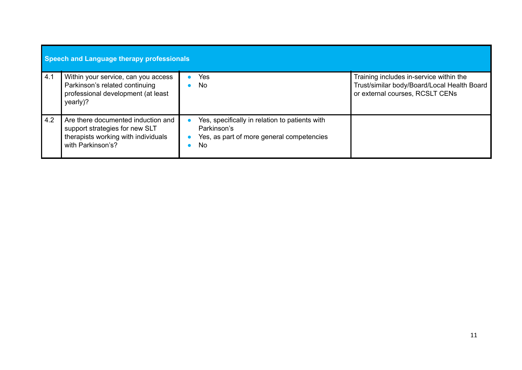|     | Speech and Language therapy professionals                                                                                        |  |                                                                                                                  |                                                                                                                           |  |
|-----|----------------------------------------------------------------------------------------------------------------------------------|--|------------------------------------------------------------------------------------------------------------------|---------------------------------------------------------------------------------------------------------------------------|--|
| 4.1 | Within your service, can you access<br>Parkinson's related continuing<br>professional development (at least<br>yearly)?          |  | Yes<br><b>No</b>                                                                                                 | Training includes in-service within the<br>Trust/similar body/Board/Local Health Board<br>or external courses, RCSLT CENs |  |
| 4.2 | Are there documented induction and<br>support strategies for new SLT<br>therapists working with individuals<br>with Parkinson's? |  | Yes, specifically in relation to patients with<br>Parkinson's<br>Yes, as part of more general competencies<br>No |                                                                                                                           |  |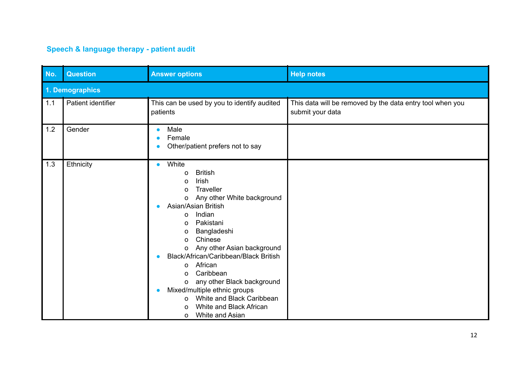## **Speech & language therapy - patient audit**

| No. | <b>Question</b>    | <b>Answer options</b>                                                                                                                                                                                                                                                                                                                                                                                                                                                                                       | <b>Help notes</b>                                                             |
|-----|--------------------|-------------------------------------------------------------------------------------------------------------------------------------------------------------------------------------------------------------------------------------------------------------------------------------------------------------------------------------------------------------------------------------------------------------------------------------------------------------------------------------------------------------|-------------------------------------------------------------------------------|
|     | 1. Demographics    |                                                                                                                                                                                                                                                                                                                                                                                                                                                                                                             |                                                                               |
| 1.1 | Patient identifier | This can be used by you to identify audited<br>patients                                                                                                                                                                                                                                                                                                                                                                                                                                                     | This data will be removed by the data entry tool when you<br>submit your data |
| 1.2 | Gender             | Male<br>$\bullet$<br>Female<br>Other/patient prefers not to say                                                                                                                                                                                                                                                                                                                                                                                                                                             |                                                                               |
| 1.3 | Ethnicity          | White<br>$\bullet$<br><b>British</b><br>O<br>Irish<br>o<br>Traveller<br>o<br>Any other White background<br>о<br>Asian/Asian British<br>Indian<br>O<br>Pakistani<br>O<br>Bangladeshi<br>o<br>Chinese<br>o<br>Any other Asian background<br>o<br>Black/African/Caribbean/Black British<br>●<br>African<br>O<br>Caribbean<br>Ω<br>any other Black background<br>o<br>Mixed/multiple ethnic groups<br>$\bullet$<br>White and Black Caribbean<br>O<br>White and Black African<br>0<br>White and Asian<br>$\circ$ |                                                                               |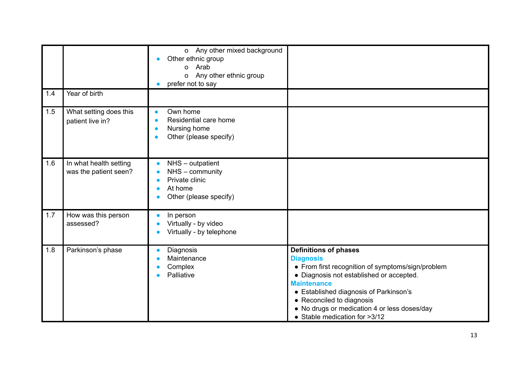|     |                                                 | o Any other mixed background<br>Other ethnic group<br>o Arab<br>Any other ethnic group<br>o<br>prefer not to say<br>O             |                                                                                                                                                                                                                                                                                                                                 |
|-----|-------------------------------------------------|-----------------------------------------------------------------------------------------------------------------------------------|---------------------------------------------------------------------------------------------------------------------------------------------------------------------------------------------------------------------------------------------------------------------------------------------------------------------------------|
| 1.4 | Year of birth                                   |                                                                                                                                   |                                                                                                                                                                                                                                                                                                                                 |
| 1.5 | What setting does this<br>patient live in?      | Own home<br>$\bullet$<br>Residential care home<br>$\bullet$<br>Nursing home<br>Other (please specify)                             |                                                                                                                                                                                                                                                                                                                                 |
| 1.6 | In what health setting<br>was the patient seen? | NHS - outpatient<br>$\bullet$<br>NHS - community<br>$\bullet$<br>Private clinic<br>$\bullet$<br>At home<br>Other (please specify) |                                                                                                                                                                                                                                                                                                                                 |
| 1.7 | How was this person<br>assessed?                | In person<br>$\bullet$<br>Virtually - by video<br>$\bullet$<br>Virtually - by telephone<br>Ċ                                      |                                                                                                                                                                                                                                                                                                                                 |
| 1.8 | Parkinson's phase                               | Diagnosis<br>$\bullet$<br>Maintenance<br>$\bullet$<br>Complex<br>Palliative                                                       | <b>Definitions of phases</b><br><b>Diagnosis</b><br>• From first recognition of symptoms/sign/problem<br>• Diagnosis not established or accepted.<br><b>Maintenance</b><br>• Established diagnosis of Parkinson's<br>• Reconciled to diagnosis<br>• No drugs or medication 4 or less doses/day<br>• Stable medication for >3/12 |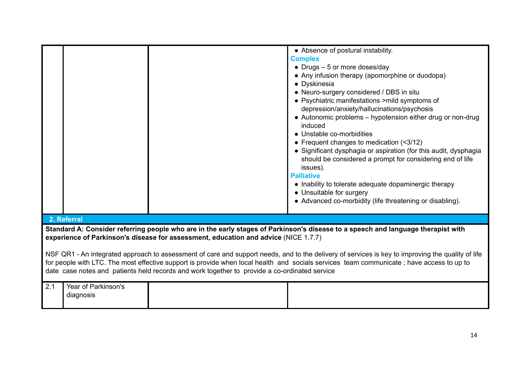|     |                                  |                                                                                                                                                                                      | • Absence of postural instability.<br><b>Complex</b><br>• Drugs $-5$ or more doses/day<br>• Any infusion therapy (apomorphine or duodopa)<br>• Dyskinesia<br>• Neuro-surgery considered / DBS in situ<br>• Psychiatric manifestations > mild symptoms of<br>depression/anxiety/hallucinations/psychosis<br>• Autonomic problems – hypotension either drug or non-drug<br>induced<br>• Unstable co-morbidities<br>• Frequent changes to medication $($ $3/12$ )<br>• Significant dysphagia or aspiration (for this audit, dysphagia<br>should be considered a prompt for considering end of life<br>issues).<br><b>Palliative</b><br>• Inability to tolerate adequate dopaminergic therapy<br>• Unsuitable for surgery |
|-----|----------------------------------|--------------------------------------------------------------------------------------------------------------------------------------------------------------------------------------|-----------------------------------------------------------------------------------------------------------------------------------------------------------------------------------------------------------------------------------------------------------------------------------------------------------------------------------------------------------------------------------------------------------------------------------------------------------------------------------------------------------------------------------------------------------------------------------------------------------------------------------------------------------------------------------------------------------------------|
|     |                                  |                                                                                                                                                                                      | • Advanced co-morbidity (life threatening or disabling).                                                                                                                                                                                                                                                                                                                                                                                                                                                                                                                                                                                                                                                              |
|     | 2. Referral                      |                                                                                                                                                                                      |                                                                                                                                                                                                                                                                                                                                                                                                                                                                                                                                                                                                                                                                                                                       |
|     |                                  | experience of Parkinson's disease for assessment, education and advice (NICE 1.7.7)<br>date case notes and patients held records and work together to provide a co-ordinated service | Standard A: Consider referring people who are in the early stages of Parkinson's disease to a speech and language therapist with<br>NSF QR1 - An integrated approach to assessment of care and support needs, and to the delivery of services is key to improving the quality of life<br>for people with LTC. The most effective support is provide when local health and socials services team communicate; have access to up to                                                                                                                                                                                                                                                                                     |
| 2.1 | Year of Parkinson's<br>diagnosis |                                                                                                                                                                                      |                                                                                                                                                                                                                                                                                                                                                                                                                                                                                                                                                                                                                                                                                                                       |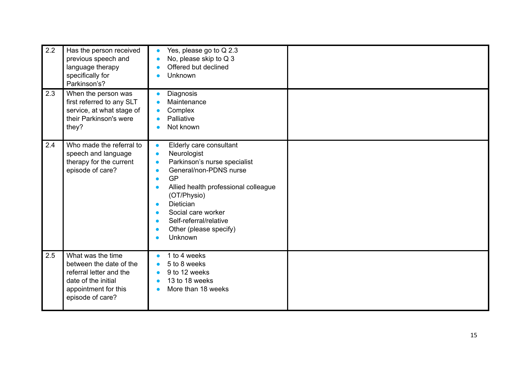| 2.2 | Has the person received<br>previous speech and<br>language therapy<br>specifically for<br>Parkinson's?                                     | Yes, please go to Q 2.3<br>No, please skip to Q 3<br>Offered but declined<br><b>Unknown</b>                                                                                                                                                                                                                                                                                                |  |
|-----|--------------------------------------------------------------------------------------------------------------------------------------------|--------------------------------------------------------------------------------------------------------------------------------------------------------------------------------------------------------------------------------------------------------------------------------------------------------------------------------------------------------------------------------------------|--|
| 2.3 | When the person was<br>first referred to any SLT<br>service, at what stage of<br>their Parkinson's were<br>they?                           | Diagnosis<br>Maintenance<br>Complex<br>Palliative<br>Not known                                                                                                                                                                                                                                                                                                                             |  |
| 2.4 | Who made the referral to<br>speech and language<br>therapy for the current<br>episode of care?                                             | Elderly care consultant<br>$\bullet$<br>Neurologist<br>$\bullet$<br>Parkinson's nurse specialist<br>$\bullet$<br>General/non-PDNS nurse<br>$\bullet$<br><b>GP</b><br>$\bullet$<br>Allied health professional colleague<br>$\bullet$<br>(OT/Physio)<br><b>Dietician</b><br>$\bullet$<br>Social care worker<br>Self-referral/relative<br>$\bullet$<br>Other (please specify)<br>О<br>Unknown |  |
| 2.5 | What was the time<br>between the date of the<br>referral letter and the<br>date of the initial<br>appointment for this<br>episode of care? | 1 to 4 weeks<br>5 to 8 weeks<br>9 to 12 weeks<br>13 to 18 weeks<br>More than 18 weeks                                                                                                                                                                                                                                                                                                      |  |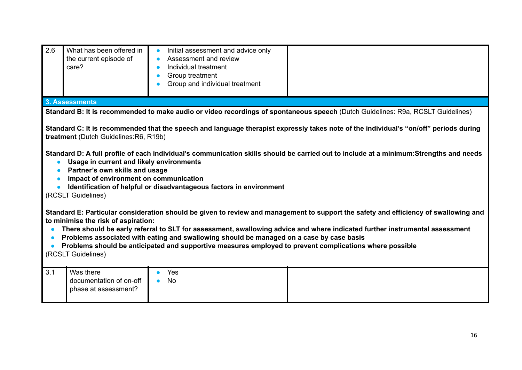| 2.6       | What has been offered in<br>the current episode of<br>care?                                                                                                                                                                                                                                                                                                                                                                                                                                                                                     | Initial assessment and advice only<br>Assessment and review<br>Individual treatment<br>Group treatment<br>Group and individual treatment                                                            |                                                                                                                                                                                                                                                                     |  |  |
|-----------|-------------------------------------------------------------------------------------------------------------------------------------------------------------------------------------------------------------------------------------------------------------------------------------------------------------------------------------------------------------------------------------------------------------------------------------------------------------------------------------------------------------------------------------------------|-----------------------------------------------------------------------------------------------------------------------------------------------------------------------------------------------------|---------------------------------------------------------------------------------------------------------------------------------------------------------------------------------------------------------------------------------------------------------------------|--|--|
|           | 3. Assessments                                                                                                                                                                                                                                                                                                                                                                                                                                                                                                                                  |                                                                                                                                                                                                     |                                                                                                                                                                                                                                                                     |  |  |
|           |                                                                                                                                                                                                                                                                                                                                                                                                                                                                                                                                                 |                                                                                                                                                                                                     | Standard B: It is recommended to make audio or video recordings of spontaneous speech (Dutch Guidelines: R9a, RCSLT Guidelines)                                                                                                                                     |  |  |
| $\bullet$ | Standard C: It is recommended that the speech and language therapist expressly takes note of the individual's "on/off" periods during<br>treatment (Dutch Guidelines: R6, R19b)<br>Standard D: A full profile of each individual's communication skills should be carried out to include at a minimum: Strengths and needs<br>Usage in current and likely environments<br>Partner's own skills and usage<br>Impact of environment on communication<br>Identification of helpful or disadvantageous factors in environment<br>(RCSLT Guidelines) |                                                                                                                                                                                                     |                                                                                                                                                                                                                                                                     |  |  |
|           | to minimise the risk of aspiration:<br>(RCSLT Guidelines)                                                                                                                                                                                                                                                                                                                                                                                                                                                                                       | Problems associated with eating and swallowing should be managed on a case by case basis<br>Problems should be anticipated and supportive measures employed to prevent complications where possible | Standard E: Particular consideration should be given to review and management to support the safety and efficiency of swallowing and<br>There should be early referral to SLT for assessment, swallowing advice and where indicated further instrumental assessment |  |  |
| 3.1       | Was there<br>documentation of on-off<br>phase at assessment?                                                                                                                                                                                                                                                                                                                                                                                                                                                                                    | Yes<br><b>No</b>                                                                                                                                                                                    |                                                                                                                                                                                                                                                                     |  |  |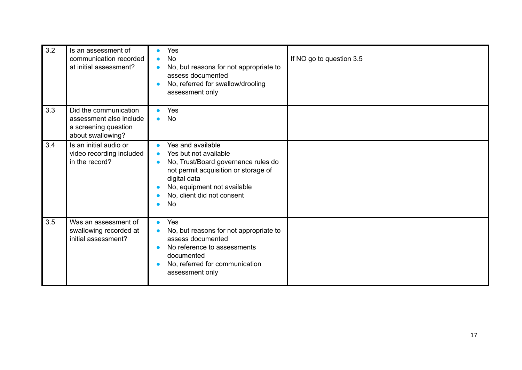| 3.2 | Is an assessment of<br>communication recorded<br>at initial assessment?                       | Yes<br>$\bullet$<br><b>No</b><br>$\bullet$<br>No, but reasons for not appropriate to<br>assess documented<br>No, referred for swallow/drooling<br>$\bullet$<br>assessment only                                                         | If NO go to question 3.5 |
|-----|-----------------------------------------------------------------------------------------------|----------------------------------------------------------------------------------------------------------------------------------------------------------------------------------------------------------------------------------------|--------------------------|
| 3.3 | Did the communication<br>assessment also include<br>a screening question<br>about swallowing? | Yes<br>$\bullet$<br><b>No</b><br>$\bullet$                                                                                                                                                                                             |                          |
| 3.4 | Is an initial audio or<br>video recording included<br>in the record?                          | Yes and available<br>$\bullet$<br>Yes but not available<br>No, Trust/Board governance rules do<br>$\bullet$<br>not permit acquisition or storage of<br>digital data<br>No, equipment not available<br>No, client did not consent<br>No |                          |
| 3.5 | Was an assessment of<br>swallowing recorded at<br>initial assessment?                         | Yes<br>$\bullet$<br>No, but reasons for not appropriate to<br>$\bullet$<br>assess documented<br>No reference to assessments<br>documented<br>No, referred for communication<br>$\bullet$<br>assessment only                            |                          |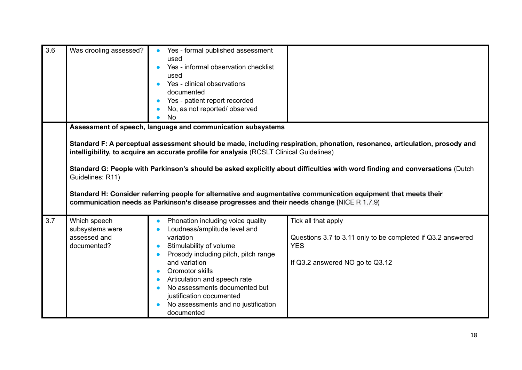| 3.6 | Was drooling assessed?                                                                                                                                                                                                                                                                                                                                                                                                                                                                                                                                                                                                                                      | Yes - formal published assessment<br>used<br>Yes - informal observation checklist<br>used<br>Yes - clinical observations<br>documented<br>Yes - patient report recorded<br>No, as not reported/observed<br><b>No</b>                                                                                                                    |                                                                                                                                     |  |  |  |
|-----|-------------------------------------------------------------------------------------------------------------------------------------------------------------------------------------------------------------------------------------------------------------------------------------------------------------------------------------------------------------------------------------------------------------------------------------------------------------------------------------------------------------------------------------------------------------------------------------------------------------------------------------------------------------|-----------------------------------------------------------------------------------------------------------------------------------------------------------------------------------------------------------------------------------------------------------------------------------------------------------------------------------------|-------------------------------------------------------------------------------------------------------------------------------------|--|--|--|
|     | Assessment of speech, language and communication subsystems<br>Standard F: A perceptual assessment should be made, including respiration, phonation, resonance, articulation, prosody and<br>intelligibility, to acquire an accurate profile for analysis (RCSLT Clinical Guidelines)<br>Standard G: People with Parkinson's should be asked explicitly about difficulties with word finding and conversations (Dutch<br>Guidelines: R11)<br>Standard H: Consider referring people for alternative and augmentative communication equipment that meets their<br>communication needs as Parkinson's disease progresses and their needs change (NICE R 1.7.9) |                                                                                                                                                                                                                                                                                                                                         |                                                                                                                                     |  |  |  |
| 3.7 | Which speech<br>subsystems were<br>assessed and<br>documented?                                                                                                                                                                                                                                                                                                                                                                                                                                                                                                                                                                                              | Phonation including voice quality<br>Loudness/amplitude level and<br>variation<br>Stimulability of volume<br>Prosody including pitch, pitch range<br>and variation<br>Oromotor skills<br>Articulation and speech rate<br>No assessments documented but<br>justification documented<br>No assessments and no justification<br>documented | Tick all that apply<br>Questions 3.7 to 3.11 only to be completed if Q3.2 answered<br><b>YES</b><br>If Q3.2 answered NO go to Q3.12 |  |  |  |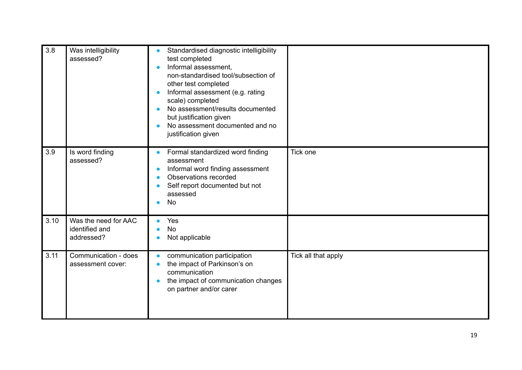| 3.8  | Was intelligibility<br>assessed?                     | Standardised diagnostic intelligibility<br>$\bullet$<br>test completed<br>Informal assessment,<br>$\bullet$<br>non-standardised tool/subsection of<br>other test completed<br>Informal assessment (e.g. rating<br>scale) completed<br>No assessment/results documented<br>but justification given<br>No assessment documented and no<br>justification given |                     |
|------|------------------------------------------------------|-------------------------------------------------------------------------------------------------------------------------------------------------------------------------------------------------------------------------------------------------------------------------------------------------------------------------------------------------------------|---------------------|
| 3.9  | Is word finding<br>assessed?                         | Formal standardized word finding<br>$\bullet$<br>assessment<br>Informal word finding assessment<br>$\bullet$<br>Observations recorded<br>$\bullet$<br>Self report documented but not<br>assessed<br><b>No</b>                                                                                                                                               | Tick one            |
| 3.10 | Was the need for AAC<br>identified and<br>addressed? | Yes<br><b>No</b><br>Not applicable                                                                                                                                                                                                                                                                                                                          |                     |
| 3.11 | Communication - does<br>assessment cover:            | communication participation<br>$\bullet$<br>the impact of Parkinson's on<br>communication<br>the impact of communication changes<br>$\bullet$<br>on partner and/or carer                                                                                                                                                                                    | Tick all that apply |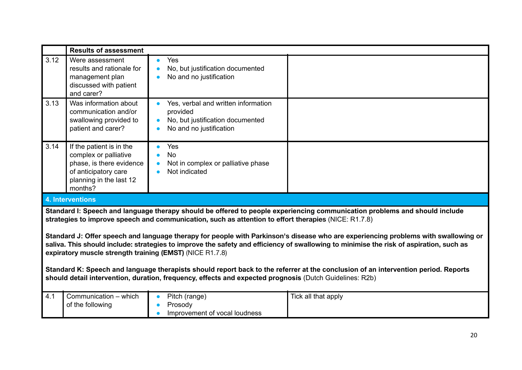|                                                                                                                                                                                                                                                                                                                                                                                                                                                                                                                                                                                                                                                                                                                                                                                                                                 | <b>Results of assessment</b>                                                                                                                |                                                                                                                             |                     |
|---------------------------------------------------------------------------------------------------------------------------------------------------------------------------------------------------------------------------------------------------------------------------------------------------------------------------------------------------------------------------------------------------------------------------------------------------------------------------------------------------------------------------------------------------------------------------------------------------------------------------------------------------------------------------------------------------------------------------------------------------------------------------------------------------------------------------------|---------------------------------------------------------------------------------------------------------------------------------------------|-----------------------------------------------------------------------------------------------------------------------------|---------------------|
| 3.12                                                                                                                                                                                                                                                                                                                                                                                                                                                                                                                                                                                                                                                                                                                                                                                                                            | Were assessment<br>results and rationale for<br>management plan<br>discussed with patient<br>and carer?                                     | Yes<br>$\bullet$<br>No, but justification documented<br>Ċ<br>No and no justification                                        |                     |
| 3.13                                                                                                                                                                                                                                                                                                                                                                                                                                                                                                                                                                                                                                                                                                                                                                                                                            | Was information about<br>communication and/or<br>swallowing provided to<br>patient and carer?                                               | Yes, verbal and written information<br>provided<br>No, but justification documented<br>$\bullet$<br>No and no justification |                     |
| 3.14                                                                                                                                                                                                                                                                                                                                                                                                                                                                                                                                                                                                                                                                                                                                                                                                                            | If the patient is in the<br>complex or palliative<br>phase, is there evidence<br>of anticipatory care<br>planning in the last 12<br>months? | Yes<br><b>No</b><br>Not in complex or palliative phase<br>$\bullet$<br>Not indicated                                        |                     |
|                                                                                                                                                                                                                                                                                                                                                                                                                                                                                                                                                                                                                                                                                                                                                                                                                                 | <b>4. Interventions</b>                                                                                                                     |                                                                                                                             |                     |
| Standard I: Speech and language therapy should be offered to people experiencing communication problems and should include<br>strategies to improve speech and communication, such as attention to effort therapies (NICE: R1.7.8)<br>Standard J: Offer speech and language therapy for people with Parkinson's disease who are experiencing problems with swallowing or<br>saliva. This should include: strategies to improve the safety and efficiency of swallowing to minimise the risk of aspiration, such as<br>expiratory muscle strength training (EMST) (NICE R1.7.8)<br>Standard K: Speech and language therapists should report back to the referrer at the conclusion of an intervention period. Reports<br>should detail intervention, duration, frequency, effects and expected prognosis (Dutch Guidelines: R2b) |                                                                                                                                             |                                                                                                                             |                     |
| 4.1                                                                                                                                                                                                                                                                                                                                                                                                                                                                                                                                                                                                                                                                                                                                                                                                                             | Communication - which<br>of the following                                                                                                   | Pitch (range)<br>Prosody<br>Improvement of vocal loudness                                                                   | Tick all that apply |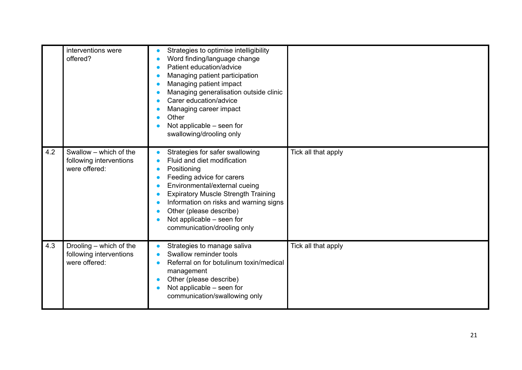|     | interventions were<br>offered?                                      | Strategies to optimise intelligibility<br>Word finding/language change<br>Patient education/advice<br>Managing patient participation<br>Managing patient impact<br>Managing generalisation outside clinic<br>Carer education/advice<br>Managing career impact<br>Other<br>Not applicable – seen for<br>swallowing/drooling only |                     |
|-----|---------------------------------------------------------------------|---------------------------------------------------------------------------------------------------------------------------------------------------------------------------------------------------------------------------------------------------------------------------------------------------------------------------------|---------------------|
| 4.2 | Swallow - which of the<br>following interventions<br>were offered:  | Strategies for safer swallowing<br>Fluid and diet modification<br>Positioning<br>Feeding advice for carers<br>Environmental/external cueing<br><b>Expiratory Muscle Strength Training</b><br>Information on risks and warning signs<br>Other (please describe)<br>Not applicable - seen for<br>communication/drooling only      | Tick all that apply |
| 4.3 | Drooling – which of the<br>following interventions<br>were offered: | Strategies to manage saliva<br>Swallow reminder tools<br>Referral on for botulinum toxin/medical<br>management<br>Other (please describe)<br>Not applicable - seen for<br>communication/swallowing only                                                                                                                         | Tick all that apply |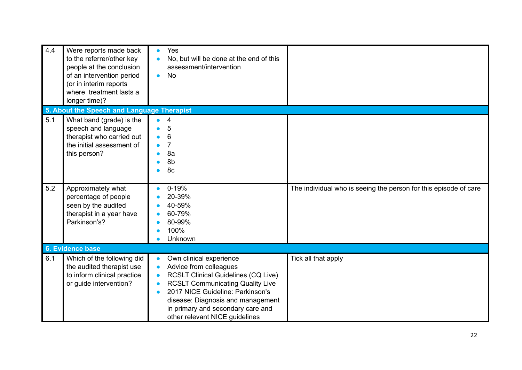| 4.4 | Were reports made back<br>to the referrer/other key<br>people at the conclusion<br>of an intervention period<br>(or in interim reports<br>where treatment lasts a<br>longer time)? | Yes<br>No, but will be done at the end of this<br>assessment/intervention<br><b>No</b><br>٠                                                                                                                                                                                                               |                                                                  |
|-----|------------------------------------------------------------------------------------------------------------------------------------------------------------------------------------|-----------------------------------------------------------------------------------------------------------------------------------------------------------------------------------------------------------------------------------------------------------------------------------------------------------|------------------------------------------------------------------|
| 5.1 | 5. About the Speech and Language Therapist<br>What band (grade) is the<br>speech and language<br>therapist who carried out<br>the initial assessment of<br>this person?            | 4<br>5<br>6<br>8a<br>8b<br>8c                                                                                                                                                                                                                                                                             |                                                                  |
| 5.2 | Approximately what<br>percentage of people<br>seen by the audited<br>therapist in a year have<br>Parkinson's?                                                                      | $0 - 19%$<br>20-39%<br>40-59%<br>60-79%<br>80-99%<br>100%<br>Unknown                                                                                                                                                                                                                                      | The individual who is seeing the person for this episode of care |
| 6.1 | 6. Evidence base<br>Which of the following did<br>the audited therapist use<br>to inform clinical practice<br>or guide intervention?                                               | Own clinical experience<br>Advice from colleagues<br><b>RCSLT Clinical Guidelines (CQ Live)</b><br>Ċ<br><b>RCSLT Communicating Quality Live</b><br>Ċ<br>2017 NICE Guideline: Parkinson's<br>Ċ<br>disease: Diagnosis and management<br>in primary and secondary care and<br>other relevant NICE guidelines | Tick all that apply                                              |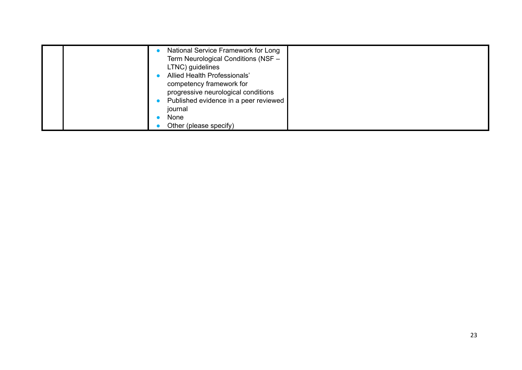|  | National Service Framework for Long   |  |
|--|---------------------------------------|--|
|  | Term Neurological Conditions (NSF -   |  |
|  | LTNC) guidelines                      |  |
|  | Allied Health Professionals'          |  |
|  | competency framework for              |  |
|  | progressive neurological conditions   |  |
|  | Published evidence in a peer reviewed |  |
|  | journal                               |  |
|  | <b>None</b>                           |  |
|  | Other (please specify)                |  |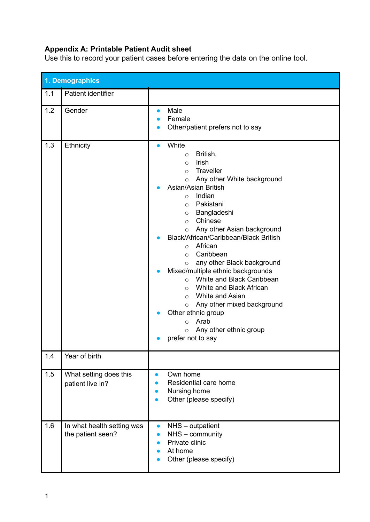#### **Appendix A: Printable Patient Audit sheet**

Use this to record your patient cases before entering the data on the online tool.

|     | 1. Demographics                                 |                                                                                                                                                                                                                                                                                                                                                                                                                                                                                                                                                                                                                                                                                                              |  |
|-----|-------------------------------------------------|--------------------------------------------------------------------------------------------------------------------------------------------------------------------------------------------------------------------------------------------------------------------------------------------------------------------------------------------------------------------------------------------------------------------------------------------------------------------------------------------------------------------------------------------------------------------------------------------------------------------------------------------------------------------------------------------------------------|--|
| 1.1 | Patient identifier                              |                                                                                                                                                                                                                                                                                                                                                                                                                                                                                                                                                                                                                                                                                                              |  |
| 1.2 | Gender                                          | Male<br>$\bullet$<br>Female<br>Other/patient prefers not to say<br>$\bullet$                                                                                                                                                                                                                                                                                                                                                                                                                                                                                                                                                                                                                                 |  |
| 1.3 | Ethnicity                                       | White<br>$\bullet$<br>British,<br>$\circ$<br>Irish<br>$\circ$<br>Traveller<br>$\circ$<br>Any other White background<br>$\circ$<br>Asian/Asian British<br>Indian<br>$\circ$<br>Pakistani<br>$\circ$<br>Bangladeshi<br>$\circ$<br>Chinese<br>$\circ$<br>Any other Asian background<br>$\circ$<br>Black/African/Caribbean/Black British<br>African<br>$\circ$<br>Caribbean<br>$\circ$<br>any other Black background<br>$\circ$<br>Mixed/multiple ethnic backgrounds<br>White and Black Caribbean<br>$\circ$<br>o White and Black African<br>$\circ$ White and Asian<br>Any other mixed background<br>$\circ$<br>Other ethnic group<br>Arab<br>$\circ$<br>Any other ethnic group<br>$\circ$<br>prefer not to say |  |
| 1.4 | Year of birth                                   |                                                                                                                                                                                                                                                                                                                                                                                                                                                                                                                                                                                                                                                                                                              |  |
| 1.5 | What setting does this<br>patient live in?      | Own home<br>$\bullet$<br>Residential care home<br>$\bullet$<br>Nursing home<br>$\bullet$<br>Other (please specify)<br>$\bullet$                                                                                                                                                                                                                                                                                                                                                                                                                                                                                                                                                                              |  |
| 1.6 | In what health setting was<br>the patient seen? | NHS - outpatient<br>$\bullet$<br>NHS - community<br>Private clinic<br>At home<br>Other (please specify)                                                                                                                                                                                                                                                                                                                                                                                                                                                                                                                                                                                                      |  |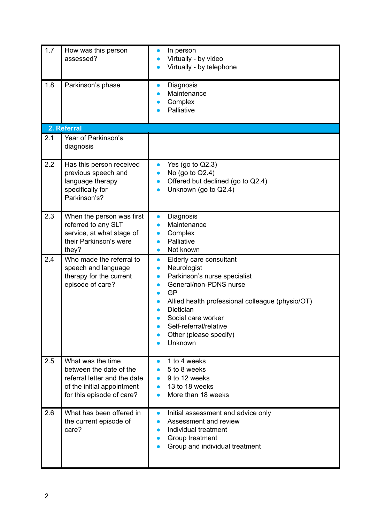| 1.7 | How was this person<br>assessed?                                                                                                        | In person<br>Virtually - by video<br>Virtually - by telephone                                                                                                                                                                                                                                                                 |
|-----|-----------------------------------------------------------------------------------------------------------------------------------------|-------------------------------------------------------------------------------------------------------------------------------------------------------------------------------------------------------------------------------------------------------------------------------------------------------------------------------|
| 1.8 | Parkinson's phase                                                                                                                       | Diagnosis<br>$\bullet$<br>Maintenance<br>Complex<br>Palliative                                                                                                                                                                                                                                                                |
|     | 2. Referral                                                                                                                             |                                                                                                                                                                                                                                                                                                                               |
| 2.1 | Year of Parkinson's<br>diagnosis                                                                                                        |                                                                                                                                                                                                                                                                                                                               |
| 2.2 | Has this person received<br>previous speech and<br>language therapy<br>specifically for<br>Parkinson's?                                 | Yes (go to $Q2.3$ )<br>$\bullet$<br>No (go to Q2.4)<br>Offered but declined (go to Q2.4)<br>Unknown (go to Q2.4)                                                                                                                                                                                                              |
| 2.3 | When the person was first<br>referred to any SLT<br>service, at what stage of<br>their Parkinson's were<br>they?                        | Diagnosis<br>$\bullet$<br>Maintenance<br>Complex<br>Palliative<br>Not known<br>$\bullet$                                                                                                                                                                                                                                      |
| 2.4 | Who made the referral to<br>speech and language<br>therapy for the current<br>episode of care?                                          | Elderly care consultant<br>$\bullet$<br>Neurologist<br>$\bullet$<br>Parkinson's nurse specialist<br>$\bullet$<br>General/non-PDNS nurse<br>$\bullet$<br>GP<br>Allied health professional colleague (physio/OT)<br>Dietician<br>Social care worker<br>Self-referral/relative<br>$\bullet$<br>Other (please specify)<br>Unknown |
| 2.5 | What was the time<br>between the date of the<br>referral letter and the date<br>of the initial appointment<br>for this episode of care? | 1 to 4 weeks<br>$\bullet$<br>5 to 8 weeks<br>$\bullet$<br>9 to 12 weeks<br>$\bullet$<br>13 to 18 weeks<br>More than 18 weeks                                                                                                                                                                                                  |
| 2.6 | What has been offered in<br>the current episode of<br>care?                                                                             | Initial assessment and advice only<br>$\bullet$<br>Assessment and review<br>$\bullet$<br>Individual treatment<br>$\bullet$<br>Group treatment<br>Group and individual treatment                                                                                                                                               |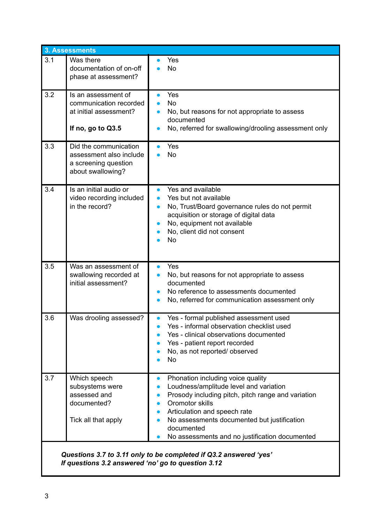|     | 3. Assessments                                                                                |                                                                                                                                                                                                                                                                                                                                                                           |  |  |
|-----|-----------------------------------------------------------------------------------------------|---------------------------------------------------------------------------------------------------------------------------------------------------------------------------------------------------------------------------------------------------------------------------------------------------------------------------------------------------------------------------|--|--|
| 3.1 | Was there<br>documentation of on-off<br>phase at assessment?                                  | Yes<br><b>No</b>                                                                                                                                                                                                                                                                                                                                                          |  |  |
| 3.2 | Is an assessment of<br>communication recorded<br>at initial assessment?<br>If no, go to Q3.5  | Yes<br><b>No</b><br>No, but reasons for not appropriate to assess<br>documented<br>No, referred for swallowing/drooling assessment only                                                                                                                                                                                                                                   |  |  |
| 3.3 | Did the communication<br>assessment also include<br>a screening question<br>about swallowing? | Yes<br><b>No</b>                                                                                                                                                                                                                                                                                                                                                          |  |  |
| 3.4 | Is an initial audio or<br>video recording included<br>in the record?                          | Yes and available<br>Yes but not available<br>No, Trust/Board governance rules do not permit<br>$\bullet$<br>acquisition or storage of digital data<br>No, equipment not available<br>No, client did not consent<br>No                                                                                                                                                    |  |  |
| 3.5 | Was an assessment of<br>swallowing recorded at<br>initial assessment?                         | Yes<br>$\bullet$<br>No, but reasons for not appropriate to assess<br>$\bullet$<br>documented<br>No reference to assessments documented<br>$\bullet$<br>No, referred for communication assessment only<br>$\bullet$                                                                                                                                                        |  |  |
| 3.6 | Was drooling assessed?                                                                        | Yes - formal published assessment used<br>$\bullet$<br>Yes - informal observation checklist used<br>Yes - clinical observations documented<br>Yes - patient report recorded<br>No, as not reported/observed<br><b>No</b>                                                                                                                                                  |  |  |
| 3.7 | Which speech<br>subsystems were<br>assessed and<br>documented?<br>Tick all that apply         | Phonation including voice quality<br>$\bullet$<br>Loudness/amplitude level and variation<br>$\bullet$<br>Prosody including pitch, pitch range and variation<br>Oromotor skills<br>$\bullet$<br>Articulation and speech rate<br>$\bullet$<br>No assessments documented but justification<br>$\bullet$<br>documented<br>No assessments and no justification documented<br>● |  |  |
|     | Questions 3.7 to 3.11 only to be completed if Q3.2 answered 'yes'                             |                                                                                                                                                                                                                                                                                                                                                                           |  |  |

*If questions 3.2 answered 'no' go to question 3.12*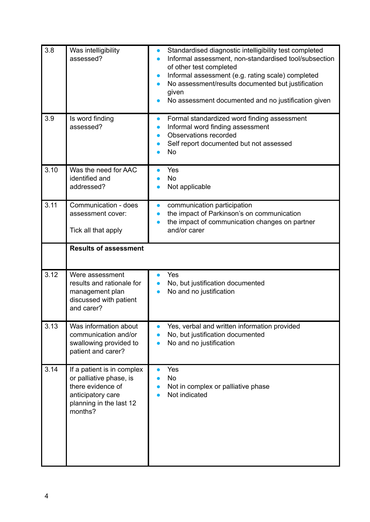| 3.8  | Was intelligibility<br>assessed?                                                                                                      | Standardised diagnostic intelligibility test completed<br>$\bullet$<br>Informal assessment, non-standardised tool/subsection<br>of other test completed<br>Informal assessment (e.g. rating scale) completed<br>$\bullet$<br>No assessment/results documented but justification<br>given<br>No assessment documented and no justification given |
|------|---------------------------------------------------------------------------------------------------------------------------------------|-------------------------------------------------------------------------------------------------------------------------------------------------------------------------------------------------------------------------------------------------------------------------------------------------------------------------------------------------|
| 3.9  | Is word finding<br>assessed?                                                                                                          | Formal standardized word finding assessment<br>$\bullet$<br>Informal word finding assessment<br>$\bullet$<br>Observations recorded<br>Self report documented but not assessed<br><b>No</b>                                                                                                                                                      |
| 3.10 | Was the need for AAC<br>identified and<br>addressed?                                                                                  | Yes<br><b>No</b><br>Not applicable                                                                                                                                                                                                                                                                                                              |
| 3.11 | Communication - does<br>assessment cover:<br>Tick all that apply                                                                      | communication participation<br>$\bullet$<br>the impact of Parkinson's on communication<br>$\bullet$<br>the impact of communication changes on partner<br>and/or carer                                                                                                                                                                           |
|      | <b>Results of assessment</b>                                                                                                          |                                                                                                                                                                                                                                                                                                                                                 |
| 3.12 | Were assessment<br>results and rationale for<br>management plan<br>discussed with patient<br>and carer?                               | Yes<br>No, but justification documented<br>No and no justification                                                                                                                                                                                                                                                                              |
| 3.13 | Was information about<br>communication and/or<br>swallowing provided to<br>patient and carer?                                         | Yes, verbal and written information provided<br>No, but justification documented<br>No and no justification                                                                                                                                                                                                                                     |
| 3.14 | If a patient is in complex<br>or palliative phase, is<br>there evidence of<br>anticipatory care<br>planning in the last 12<br>months? | Yes<br>$\bullet$<br>No<br>Not in complex or palliative phase<br>Not indicated                                                                                                                                                                                                                                                                   |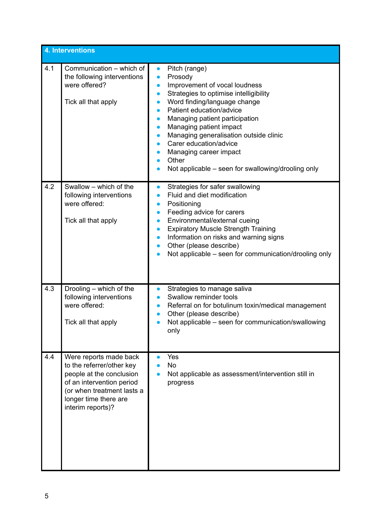|     | 4. Interventions                                                                                                                                                                         |                                                                                                                                                                                                                                                                                                                                                                                                                                                                                                                                               |
|-----|------------------------------------------------------------------------------------------------------------------------------------------------------------------------------------------|-----------------------------------------------------------------------------------------------------------------------------------------------------------------------------------------------------------------------------------------------------------------------------------------------------------------------------------------------------------------------------------------------------------------------------------------------------------------------------------------------------------------------------------------------|
| 4.1 | Communication – which of<br>the following interventions<br>were offered?<br>Tick all that apply                                                                                          | Pitch (range)<br>$\bullet$<br>Prosody<br>$\bullet$<br>Improvement of vocal loudness<br>$\bullet$<br>Strategies to optimise intelligibility<br>$\bullet$<br>Word finding/language change<br>$\bullet$<br>Patient education/advice<br>●<br>Managing patient participation<br>$\bullet$<br>Managing patient impact<br>$\bullet$<br>Managing generalisation outside clinic<br>$\bullet$<br>Carer education/advice<br>$\bullet$<br>Managing career impact<br>$\bullet$<br>Other<br>$\bullet$<br>Not applicable – seen for swallowing/drooling only |
| 4.2 | Swallow - which of the<br>following interventions<br>were offered:<br>Tick all that apply                                                                                                | Strategies for safer swallowing<br>$\bullet$<br>Fluid and diet modification<br>Positioning<br>$\bullet$<br>Feeding advice for carers<br>$\bullet$<br>Environmental/external cueing<br>$\bullet$<br><b>Expiratory Muscle Strength Training</b><br>Information on risks and warning signs<br>$\bullet$<br>Other (please describe)<br>Not applicable – seen for communication/drooling only                                                                                                                                                      |
| 4.3 | Drooling - which of the<br>following interventions<br>were offered:<br>Tick all that apply                                                                                               | Strategies to manage saliva<br>$\bullet$<br>Swallow reminder tools<br>$\bullet$<br>Referral on for botulinum toxin/medical management<br>$\bullet$<br>Other (please describe)<br>Not applicable - seen for communication/swallowing<br>only                                                                                                                                                                                                                                                                                                   |
| 4.4 | Were reports made back<br>to the referrer/other key<br>people at the conclusion<br>of an intervention period<br>(or when treatment lasts a<br>longer time there are<br>interim reports)? | Yes<br>No<br>Not applicable as assessment/intervention still in<br>progress                                                                                                                                                                                                                                                                                                                                                                                                                                                                   |